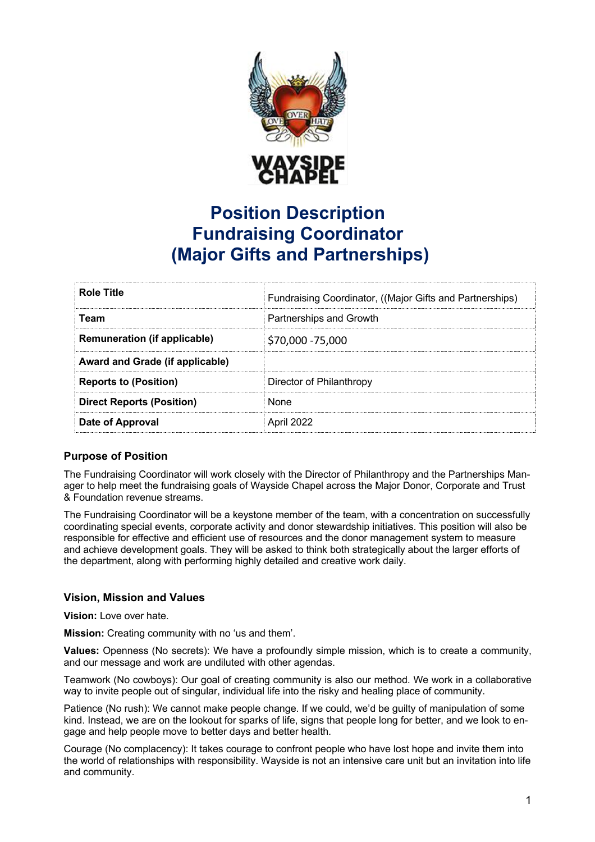

# **Position Description Fundraising Coordinator (Major Gifts and Partnerships)**

| <b>Role Title</b>                   | Fundraising Coordinator, ((Major Gifts and Partnerships) |
|-------------------------------------|----------------------------------------------------------|
| Team                                | Partnerships and Growth                                  |
| <b>Remuneration (if applicable)</b> | \$70,000 - 75,000                                        |
| Award and Grade (if applicable)     |                                                          |
| <b>Reports to (Position)</b>        | Director of Philanthropy                                 |
| <b>Direct Reports (Position)</b>    | <b>None</b>                                              |
| Date of Approval                    | April 2022                                               |

## **Purpose of Position**

The Fundraising Coordinator will work closely with the Director of Philanthropy and the Partnerships Manager to help meet the fundraising goals of Wayside Chapel across the Major Donor, Corporate and Trust & Foundation revenue streams.

The Fundraising Coordinator will be a keystone member of the team, with a concentration on successfully coordinating special events, corporate activity and donor stewardship initiatives. This position will also be responsible for effective and efficient use of resources and the donor management system to measure and achieve development goals. They will be asked to think both strategically about the larger efforts of the department, along with performing highly detailed and creative work daily.

## **Vision, Mission and Values**

**Vision:** Love over hate.

**Mission:** Creating community with no 'us and them'.

**Values:** Openness (No secrets): We have a profoundly simple mission, which is to create a community, and our message and work are undiluted with other agendas.

Teamwork (No cowboys): Our goal of creating community is also our method. We work in a collaborative way to invite people out of singular, individual life into the risky and healing place of community.

Patience (No rush): We cannot make people change. If we could, we'd be guilty of manipulation of some kind. Instead, we are on the lookout for sparks of life, signs that people long for better, and we look to engage and help people move to better days and better health.

Courage (No complacency): It takes courage to confront people who have lost hope and invite them into the world of relationships with responsibility. Wayside is not an intensive care unit but an invitation into life and community.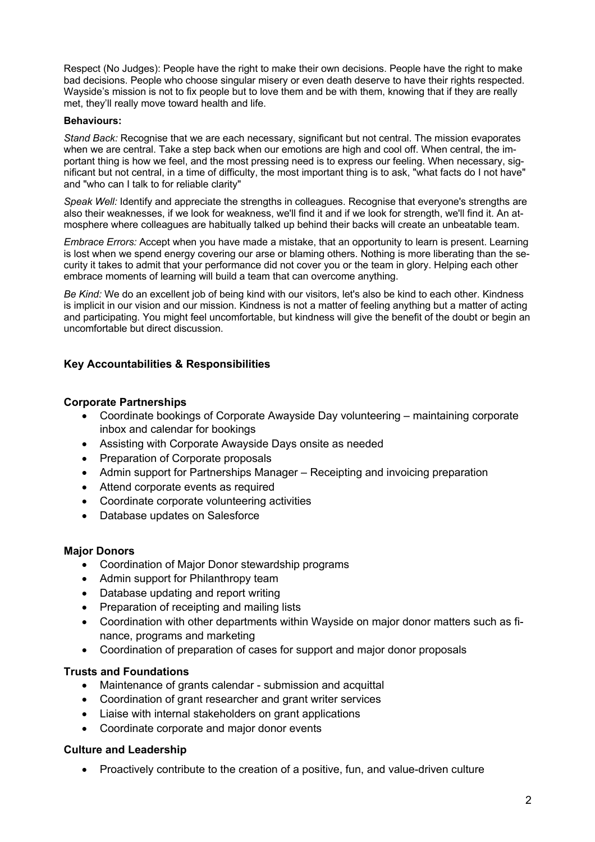Respect (No Judges): People have the right to make their own decisions. People have the right to make bad decisions. People who choose singular misery or even death deserve to have their rights respected. Wayside's mission is not to fix people but to love them and be with them, knowing that if they are really met, they'll really move toward health and life.

#### **Behaviours:**

*Stand Back:* Recognise that we are each necessary, significant but not central. The mission evaporates when we are central. Take a step back when our emotions are high and cool off. When central, the important thing is how we feel, and the most pressing need is to express our feeling. When necessary, significant but not central, in a time of difficulty, the most important thing is to ask, "what facts do I not have" and "who can I talk to for reliable clarity"

*Speak Well:* Identify and appreciate the strengths in colleagues. Recognise that everyone's strengths are also their weaknesses, if we look for weakness, we'll find it and if we look for strength, we'll find it. An atmosphere where colleagues are habitually talked up behind their backs will create an unbeatable team.

*Embrace Errors:* Accept when you have made a mistake, that an opportunity to learn is present. Learning is lost when we spend energy covering our arse or blaming others. Nothing is more liberating than the security it takes to admit that your performance did not cover you or the team in glory. Helping each other embrace moments of learning will build a team that can overcome anything.

*Be Kind:* We do an excellent job of being kind with our visitors, let's also be kind to each other. Kindness is implicit in our vision and our mission. Kindness is not a matter of feeling anything but a matter of acting and participating. You might feel uncomfortable, but kindness will give the benefit of the doubt or begin an uncomfortable but direct discussion.

## **Key Accountabilities & Responsibilities**

## **Corporate Partnerships**

- Coordinate bookings of Corporate Awayside Day volunteering maintaining corporate inbox and calendar for bookings
- Assisting with Corporate Awayside Days onsite as needed
- Preparation of Corporate proposals
- Admin support for Partnerships Manager Receipting and invoicing preparation
- Attend corporate events as required
- Coordinate corporate volunteering activities
- Database updates on Salesforce

## **Major Donors**

- Coordination of Major Donor stewardship programs
- Admin support for Philanthropy team
- Database updating and report writing
- Preparation of receipting and mailing lists
- Coordination with other departments within Wayside on major donor matters such as finance, programs and marketing
- Coordination of preparation of cases for support and major donor proposals

## **Trusts and Foundations**

- Maintenance of grants calendar submission and acquittal
- Coordination of grant researcher and grant writer services
- Liaise with internal stakeholders on grant applications
- Coordinate corporate and major donor events

## **Culture and Leadership**

• Proactively contribute to the creation of a positive, fun, and value-driven culture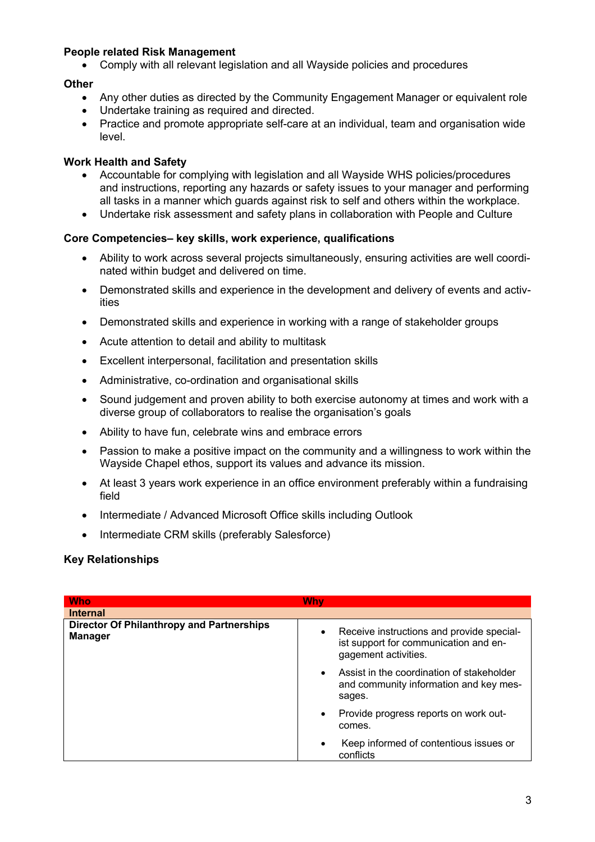## **People related Risk Management**

• Comply with all relevant legislation and all Wayside policies and procedures

## **Other**

- Any other duties as directed by the Community Engagement Manager or equivalent role
- Undertake training as required and directed.
- Practice and promote appropriate self-care at an individual, team and organisation wide level.

## **Work Health and Safety**

- Accountable for complying with legislation and all Wayside WHS policies/procedures and instructions, reporting any hazards or safety issues to your manager and performing all tasks in a manner which guards against risk to self and others within the workplace.
- Undertake risk assessment and safety plans in collaboration with People and Culture

## **Core Competencies– key skills, work experience, qualifications**

- Ability to work across several projects simultaneously, ensuring activities are well coordinated within budget and delivered on time.
- Demonstrated skills and experience in the development and delivery of events and activities
- Demonstrated skills and experience in working with a range of stakeholder groups
- Acute attention to detail and ability to multitask
- Excellent interpersonal, facilitation and presentation skills
- Administrative, co-ordination and organisational skills
- Sound judgement and proven ability to both exercise autonomy at times and work with a diverse group of collaborators to realise the organisation's goals
- Ability to have fun, celebrate wins and embrace errors
- Passion to make a positive impact on the community and a willingness to work within the Wayside Chapel ethos, support its values and advance its mission.
- At least 3 years work experience in an office environment preferably within a fundraising field
- Intermediate / Advanced Microsoft Office skills including Outlook
- Intermediate CRM skills (preferably Salesforce)

## **Key Relationships**

| <b>Who</b>                                                         | Why                                                                                                                     |
|--------------------------------------------------------------------|-------------------------------------------------------------------------------------------------------------------------|
| <b>Internal</b>                                                    |                                                                                                                         |
| <b>Director Of Philanthropy and Partnerships</b><br><b>Manager</b> | Receive instructions and provide special-<br>$\bullet$<br>ist support for communication and en-<br>gagement activities. |
|                                                                    | Assist in the coordination of stakeholder<br>$\bullet$<br>and community information and key mes-<br>sages.              |
|                                                                    | Provide progress reports on work out-<br>$\bullet$<br>comes.                                                            |
|                                                                    | Keep informed of contentious issues or<br>$\bullet$<br>conflicts                                                        |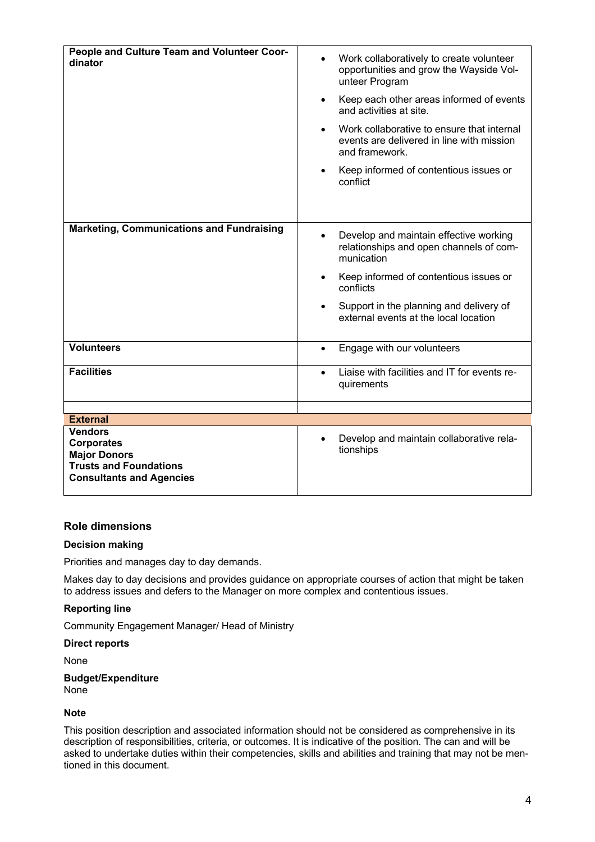| People and Culture Team and Volunteer Coor-<br>dinator | Work collaboratively to create volunteer<br>$\bullet$<br>opportunities and grow the Wayside Vol-<br>unteer Program     |
|--------------------------------------------------------|------------------------------------------------------------------------------------------------------------------------|
|                                                        | Keep each other areas informed of events<br>$\bullet$<br>and activities at site.                                       |
|                                                        | Work collaborative to ensure that internal<br>$\bullet$<br>events are delivered in line with mission<br>and framework. |
|                                                        | Keep informed of contentious issues or<br>conflict                                                                     |
|                                                        |                                                                                                                        |
| <b>Marketing, Communications and Fundraising</b>       | Develop and maintain effective working<br>$\bullet$<br>relationships and open channels of com-<br>munication           |
|                                                        | Keep informed of contentious issues or<br>conflicts                                                                    |
|                                                        | Support in the planning and delivery of<br>external events at the local location                                       |
| <b>Volunteers</b>                                      | Engage with our volunteers<br>$\bullet$                                                                                |
| <b>Facilities</b>                                      | Liaise with facilities and IT for events re-<br>$\bullet$<br>quirements                                                |
|                                                        |                                                                                                                        |
| <b>External</b><br><b>Vendors</b>                      |                                                                                                                        |
| <b>Corporates</b>                                      | Develop and maintain collaborative rela-                                                                               |
| <b>Major Donors</b>                                    | tionships                                                                                                              |
| <b>Trusts and Foundations</b>                          |                                                                                                                        |
| <b>Consultants and Agencies</b>                        |                                                                                                                        |

#### **Role dimensions**

#### **Decision making**

Priorities and manages day to day demands.

Makes day to day decisions and provides guidance on appropriate courses of action that might be taken to address issues and defers to the Manager on more complex and contentious issues.

#### **Reporting line**

Community Engagement Manager/ Head of Ministry

#### **Direct reports**

None

#### **Budget/Expenditure** None

#### **Note**

This position description and associated information should not be considered as comprehensive in its description of responsibilities, criteria, or outcomes. It is indicative of the position. The can and will be asked to undertake duties within their competencies, skills and abilities and training that may not be mentioned in this document.